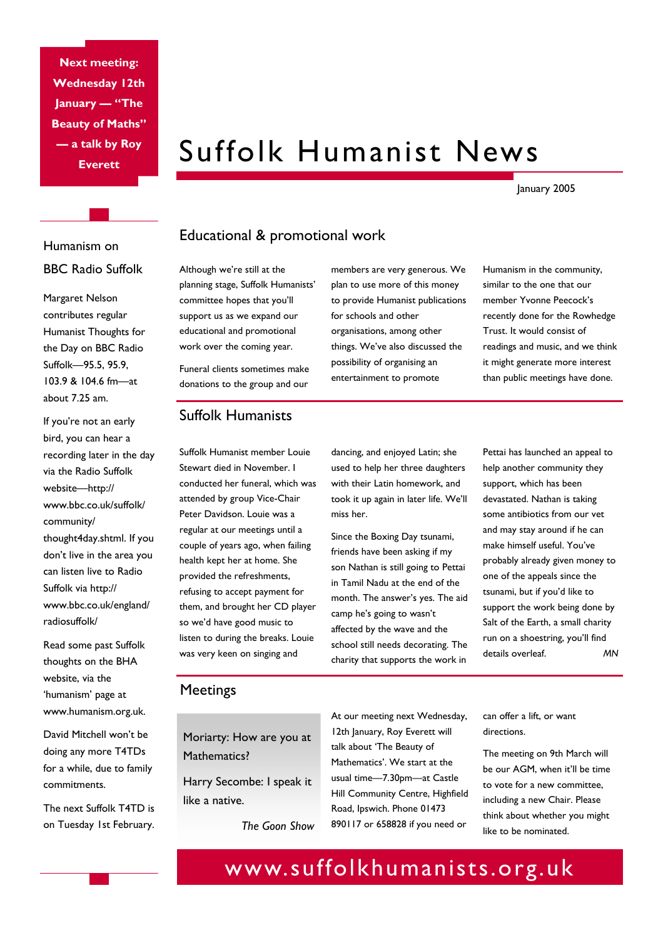**Next meeting: Wednesday 12th January — "The Beauty of Maths" — a talk by Roy Everett** 

# Suffolk Humanist News

January 2005

## Humanism on BBC Radio Suffolk

Margaret Nelson contributes regular Humanist Thoughts for the Day on BBC Radio Suffolk—95.5, 95.9, 103.9 & 104.6 fm—at about 7.25 am.

If you're not an early bird, you can hear a recording later in the day via the Radio Suffolk website—http:// www.bbc.co.uk/suffolk/ community/ thought4day.shtml. If you don't live in the area you can listen live to Radio Suffolk via http:// www.bbc.co.uk/england/ radiosuffolk/

Read some past Suffolk thoughts on the BHA website, via the 'humanism' page at www.humanism.org.uk.

David Mitchell won't be doing any more T4TDs for a while, due to family commitments.

The next Suffolk T4TD is on Tuesday 1st February.

### Educational & promotional work

Although we're still at the planning stage, Suffolk Humanists' committee hopes that you'll support us as we expand our educational and promotional work over the coming year.

members are very generous. We plan to use more of this money to provide Humanist publications for schools and other organisations, among other things. We've also discussed the possibility of organising an entertainment to promote

Humanism in the community, similar to the one that our member Yvonne Peecock's recently done for the Rowhedge Trust. It would consist of readings and music, and we think it might generate more interest than public meetings have done.

#### Funeral clients sometimes make donations to the group and our

Suffolk Humanist member Louie Stewart died in November. I conducted her funeral, which was attended by group Vice-Chair Peter Davidson. Louie was a regular at our meetings until a couple of years ago, when failing health kept her at home. She provided the refreshments, refusing to accept payment for them, and brought her CD player so we'd have good music to listen to during the breaks. Louie was very keen on singing and

Suffolk Humanists

dancing, and enjoyed Latin; she used to help her three daughters with their Latin homework, and took it up again in later life. We'll

miss her.

Since the Boxing Day tsunami, friends have been asking if my son Nathan is still going to Pettai in Tamil Nadu at the end of the month. The answer's yes. The aid camp he's going to wasn't affected by the wave and the school still needs decorating. The charity that supports the work in

Pettai has launched an appeal to help another community they support, which has been devastated. Nathan is taking some antibiotics from our vet and may stay around if he can make himself useful. You've probably already given money to one of the appeals since the tsunami, but if you'd like to support the work being done by Salt of the Earth, a small charity run on a shoestring, you'll find details overleaf. *MN* 

#### **Meetings**

Moriarty: How are you at Mathematics?

Harry Secombe: I speak it like a native.

*The Goon Show* 

At our meeting next Wednesday, 12th January, Roy Everett will talk about 'The Beauty of Mathematics'. We start at the usual time—7.30pm—at Castle Hill Community Centre, Highfield Road, Ipswich. Phone 01473 890117 or 658828 if you need or

can offer a lift, or want directions.

The meeting on 9th March will be our AGM, when it'll be time to vote for a new committee, including a new Chair. Please think about whether you might like to be nominated.

# www.suffolkhumanists.org.uk